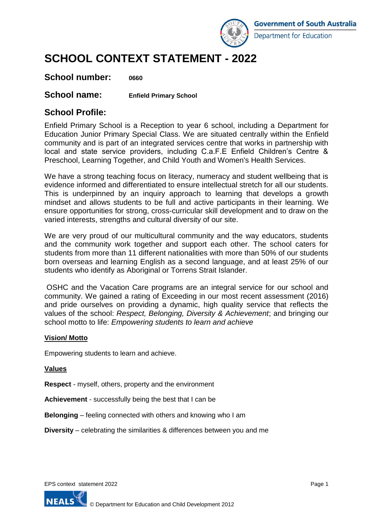

# **SCHOOL CONTEXT STATEMENT - 2022**

### **School number: 0660**

### **School name: Enfield Primary School**

### **School Profile:**

Enfield Primary School is a Reception to year 6 school, including a Department for Education Junior Primary Special Class. We are situated centrally within the Enfield community and is part of an integrated services centre that works in partnership with local and state service providers, including C.a.F.E Enfield Children's Centre & Preschool, Learning Together, and Child Youth and Women's Health Services.

We have a strong teaching focus on literacy, numeracy and student wellbeing that is evidence informed and differentiated to ensure intellectual stretch for all our students. This is underpinned by an inquiry approach to learning that develops a growth mindset and allows students to be full and active participants in their learning. We ensure opportunities for strong, cross-curricular skill development and to draw on the varied interests, strengths and cultural diversity of our site.

We are very proud of our multicultural community and the way educators, students and the community work together and support each other. The school caters for students from more than 11 different nationalities with more than 50% of our students born overseas and learning English as a second language, and at least 25% of our students who identify as Aboriginal or Torrens Strait Islander.

OSHC and the Vacation Care programs are an integral service for our school and community. We gained a rating of Exceeding in our most recent assessment (2016) and pride ourselves on providing a dynamic, high quality service that reflects the values of the school: *Respect, Belonging, Diversity & Achievement*; and bringing our school motto to life: *Empowering students to learn and achieve*

#### **Vision/ Motto**

Empowering students to learn and achieve.

#### **Values**

**Respect** - myself, others, property and the environment

**Achievement** - successfully being the best that I can be

**Belonging** – feeling connected with others and knowing who I am

**Diversity** – celebrating the similarities & differences between you and me

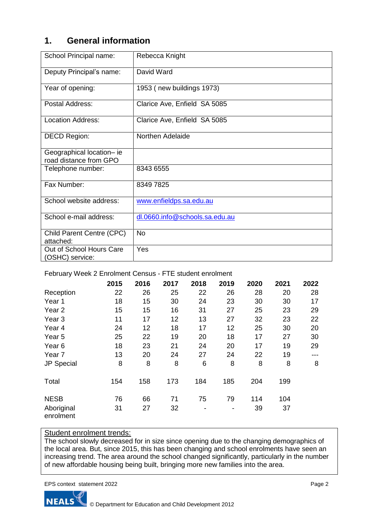### **1. General information**

| School Principal name:                              | Rebecca Knight                 |  |  |  |  |
|-----------------------------------------------------|--------------------------------|--|--|--|--|
| Deputy Principal's name:                            | David Ward                     |  |  |  |  |
| Year of opening:                                    | 1953 (new buildings 1973)      |  |  |  |  |
| Postal Address:                                     | Clarice Ave, Enfield SA 5085   |  |  |  |  |
| <b>Location Address:</b>                            | Clarice Ave, Enfield SA 5085   |  |  |  |  |
| <b>DECD Region:</b>                                 | Northen Adelaide               |  |  |  |  |
| Geographical location- ie<br>road distance from GPO |                                |  |  |  |  |
| Telephone number:                                   | 8343 6555                      |  |  |  |  |
| Fax Number:                                         | 8349 7825                      |  |  |  |  |
| School website address:                             | www.enfieldps.sa.edu.au        |  |  |  |  |
| School e-mail address:                              | dl.0660.info@schools.sa.edu.au |  |  |  |  |
| Child Parent Centre (CPC)<br>attached:              | No                             |  |  |  |  |
| Out of School Hours Care<br>(OSHC) service:         | Yes                            |  |  |  |  |

February Week 2 Enrolment Census - FTE student enrolment

|                         | 2015 | 2016 | 2017 | 2018 | 2019 | 2020 | 2021 | 2022 |
|-------------------------|------|------|------|------|------|------|------|------|
| Reception               | 22   | 26   | 25   | 22   | 26   | 28   | 20   | 28   |
| Year 1                  | 18   | 15   | 30   | 24   | 23   | 30   | 30   | 17   |
| Year <sub>2</sub>       | 15   | 15   | 16   | 31   | 27   | 25   | 23   | 29   |
| Year <sub>3</sub>       | 11   | 17   | 12   | 13   | 27   | 32   | 23   | 22   |
| Year 4                  | 24   | 12   | 18   | 17   | 12   | 25   | 30   | 20   |
| Year 5                  | 25   | 22   | 19   | 20   | 18   | 17   | 27   | 30   |
| Year <sub>6</sub>       | 18   | 23   | 21   | 24   | 20   | 17   | 19   | 29   |
| Year <sub>7</sub>       | 13   | 20   | 24   | 27   | 24   | 22   | 19   | ---  |
| <b>JP Special</b>       | 8    | 8    | 8    | 6    | 8    | 8    | 8    | 8    |
| Total                   | 154  | 158  | 173  | 184  | 185  | 204  | 199  |      |
| <b>NESB</b>             | 76   | 66   | 71   | 75   | 79   | 114  | 104  |      |
| Aboriginal<br>enrolment | 31   | 27   | 32   |      | -    | 39   | 37   |      |

## Student enrolment trends:

The school slowly decreased for in size since opening due to the changing demographics of the local area. But, since 2015, this has been changing and school enrolments have seen an increasing trend. The area around the school changed significantly, particularly in the number of new affordable housing being built, bringing more new families into the area.

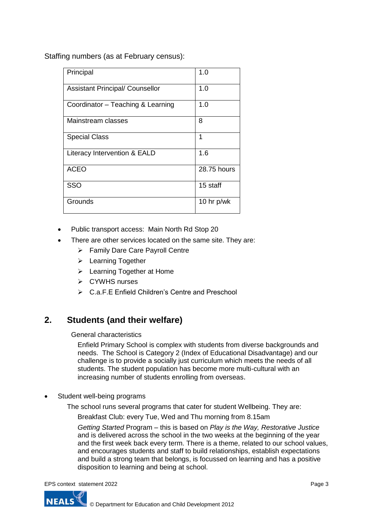Staffing numbers (as at February census):

| Principal                              | 1.0          |  |  |
|----------------------------------------|--------------|--|--|
| <b>Assistant Principal/ Counsellor</b> | 1.0          |  |  |
| Coordinator - Teaching & Learning      | 1.0          |  |  |
| Mainstream classes                     | 8            |  |  |
| <b>Special Class</b>                   | 1            |  |  |
| Literacy Intervention & EALD           | 1.6          |  |  |
| <b>ACEO</b>                            | 28.75 hours  |  |  |
| SSO                                    | 15 staff     |  |  |
| Grounds                                | 10 hr $p/wk$ |  |  |

- Public transport access: Main North Rd Stop 20
- There are other services located on the same site. They are:
	- ➢ Family Dare Care Payroll Centre
	- ➢ Learning Together
	- ➢ Learning Together at Home
	- ➢ CYWHS nurses
	- ➢ C.a.F.E Enfield Children's Centre and Preschool

### **2. Students (and their welfare)**

General characteristics

Enfield Primary School is complex with students from diverse backgrounds and needs. The School is Category 2 (Index of Educational Disadvantage) and our challenge is to provide a socially just curriculum which meets the needs of all students. The student population has become more multi-cultural with an increasing number of students enrolling from overseas.

Student well-being programs

The school runs several programs that cater for student Wellbeing. They are:

Breakfast Club: every Tue, Wed and Thu morning from 8.15am

*Getting Started* Program – this is based on *Play is the Way, Restorative Justice* and is delivered across the school in the two weeks at the beginning of the year and the first week back every term. There is a theme, related to our school values, and encourages students and staff to build relationships, establish expectations and build a strong team that belongs, is focussed on learning and has a positive disposition to learning and being at school.

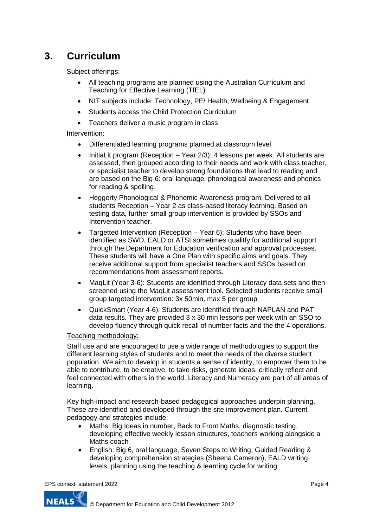# **3. Curriculum**

Subject offerings:

- All teaching programs are planned using the Australian Curriculum and Teaching for Effective Learning (TfEL).
- NIT subjects include: Technology, PE/ Health, Wellbeing & Engagement
- Students access the Child Protection Curriculum
- Teachers deliver a music program in class

#### Intervention:

- Differentiated learning programs planned at classroom level
- InitiaLit program (Reception Year 2/3): 4 lessons per week. All students are assessed, then grouped according to their needs and work with class teacher, or specialist teacher to develop strong foundations that lead to reading and are based on the Big 6: oral language, phonological awareness and phonics for reading & spelling.
- Heggerty Phonological & Phonemic Awareness program: Delivered to all students Reception – Year 2 as class-based literacy learning. Based on testing data, further small group intervention is provided by SSOs and Intervention teacher.
- Targetted Intervention (Reception Year 6): Students who have been identified as SWD, EALD or ATSI sometimes qualitfy for additional support through the Department for Education verification and approval processes. These students will have a One Plan with specific aims and goals. They receive additional support from specialist teachers and SSOs based on recommendations from assessment reports.
- MaqLit (Year 3-6): Students are identified through Literacy data sets and then screened using the MaqLit assessment tool. Selected students receive small group targeted intervention: 3x 50min, max 5 per group
- QuickSmart (Year 4-6): Students are identified through NAPLAN and PAT data results. They are provided 3 x 30 min lessons per week with an SSO to develop fluency through quick recall of number facts and the the 4 operations.

#### Teaching methodology:

Staff use and are encouraged to use a wide range of methodologies to support the different learning styles of students and to meet the needs of the diverse student population. We aim to develop in students a sense of identity, to empower them to be able to contribute, to be creative, to take risks, generate ideas, critically reflect and feel connected with others in the world. Literacy and Numeracy are part of all areas of learning.

Key high-impact and research-based pedagogical approaches underpin planning. These are identified and developed through the site improvement plan. Current pedagogy and strategies include:

- Maths: Big Ideas in number, Back to Front Maths, diagnostic testing, developing effective weekly lesson structures, teachers working alongside a Maths coach
- English: Big 6, oral language, Seven Steps to Writing, Guided Reading & developing comprehension strategies (Sheena Cameron), EALD writing levels, planning using the teaching & learning cycle for writing.

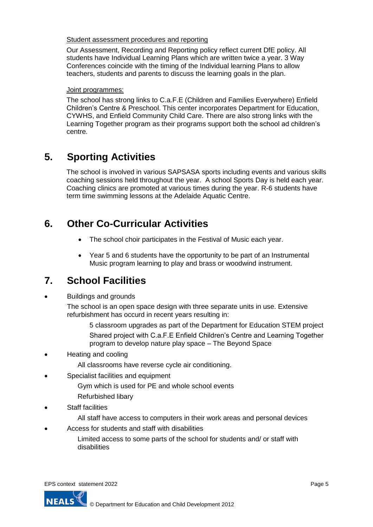#### Student assessment procedures and reporting

Our Assessment, Recording and Reporting policy reflect current DfE policy. All students have Individual Learning Plans which are written twice a year. 3 Way Conferences coincide with the timing of the Individual learning Plans to allow teachers, students and parents to discuss the learning goals in the plan.

#### Joint programmes:

The school has strong links to C.a.F.E (Children and Families Everywhere) Enfield Children's Centre & Preschool. This center incorporates Department for Education, CYWHS, and Enfield Community Child Care. There are also strong links with the Learning Together program as their programs support both the school ad children's centre.

## **5. Sporting Activities**

The school is involved in various SAPSASA sports including events and various skills coaching sessions held throughout the year. A school Sports Day is held each year. Coaching clinics are promoted at various times during the year. R-6 students have term time swimming lessons at the Adelaide Aquatic Centre.

### **6. Other Co-Curricular Activities**

- The school choir participates in the Festival of Music each year.
- Year 5 and 6 students have the opportunity to be part of an Instrumental Music program learning to play and brass or woodwind instrument.

## **7. School Facilities**

• Buildings and grounds

The school is an open space design with three separate units in use. Extensive refurbishment has occurd in recent years resulting in:

5 classroom upgrades as part of the Department for Education STEM project Shared project with C.a.F.E Enfield Children's Centre and Learning Together program to develop nature play space – The Beyond Space

- Heating and cooling
	- All classrooms have reverse cycle air conditioning.
- Specialist facilities and equipment
	- Gym which is used for PE and whole school events
	- Refurbished libary
- **Staff facilities** 
	- All staff have access to computers in their work areas and personal devices
- Access for students and staff with disabilities

Limited access to some parts of the school for students and/ or staff with disabilities